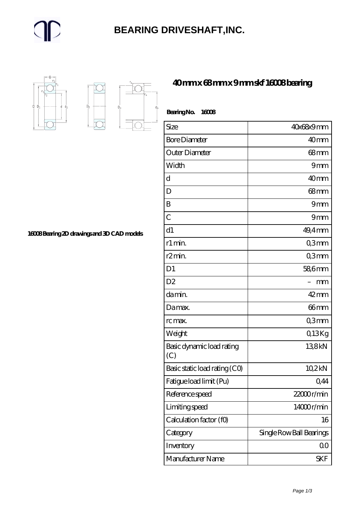#### **[BEARING DRIVESHAFT,INC.](https://m.trendco-vick.com)**



 $D_a$ 

 $D_2$ 

**[40 mm x 68 mm x 9 mm skf 16008 bearing](https://m.trendco-vick.com/skf-16008-bearing/)**

| BearingNo.<br>16008              |                          |
|----------------------------------|--------------------------|
| Size                             | 40x68x9mm                |
| <b>Bore Diameter</b>             | 40mm                     |
| Outer Diameter                   | $68$ mm                  |
| Width                            | 9mm                      |
| d                                | 40 <sub>mm</sub>         |
| D                                | 68mm                     |
| B                                | 9mm                      |
| $\overline{C}$                   | 9mm                      |
| d1                               | $49.4$ mm                |
| r1 min.                          | Q3mm                     |
| r <sub>2</sub> min.              | Q3mm                     |
| D <sub>1</sub>                   | 58,6mm                   |
| D <sub>2</sub>                   | mm                       |
| da min.                          | $42$ mm                  |
| Damax.                           | 66mm                     |
| rc max.                          | Q3mm                     |
| Weight                           | Q13Kg                    |
| Basic dynamic load rating<br>(C) | 138kN                    |
| Basic static load rating (CO)    | 10,2kN                   |
| Fatigue load limit (Pu)          | 0,44                     |
| Reference speed                  | 22000r/min               |
| Limiting speed                   | 14000r/min               |
| Calculation factor (f0)          | 16                       |
| Category                         | Single Row Ball Bearings |
| Inventory                        | 0 <sub>0</sub>           |
| Manufacturer Name                | SKF                      |

**[16008 Bearing 2D drawings and 3D CAD models](https://m.trendco-vick.com/pic-411904.html)**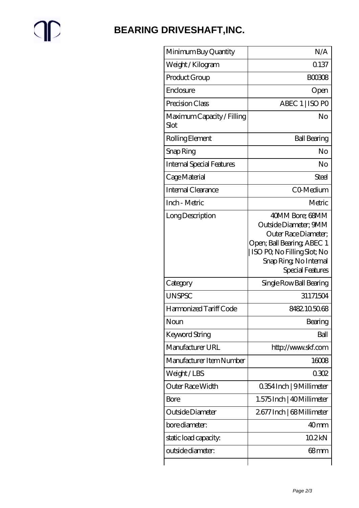# $\mathbb{P}$

### **[BEARING DRIVESHAFT,INC.](https://m.trendco-vick.com)**

| Minimum Buy Quantity               | N/A                                                                                                                                                                          |
|------------------------------------|------------------------------------------------------------------------------------------------------------------------------------------------------------------------------|
| Weight / Kilogram                  | 0.137                                                                                                                                                                        |
| Product Group                      | <b>BOO308</b>                                                                                                                                                                |
| Enclosure                          | Open                                                                                                                                                                         |
| Precision Class                    | ABEC 1   ISO PO                                                                                                                                                              |
| Maximum Capacity / Filling<br>Slot | No                                                                                                                                                                           |
| Rolling Element                    | <b>Ball Bearing</b>                                                                                                                                                          |
| Snap Ring                          | No                                                                                                                                                                           |
| <b>Internal Special Features</b>   | No                                                                                                                                                                           |
| Cage Material                      | Steel                                                                                                                                                                        |
| Internal Clearance                 | CO-Medium                                                                                                                                                                    |
| Inch - Metric                      | Metric                                                                                                                                                                       |
| Long Description                   | 40MM Bore; 68MM<br>Outside Diameter; 9MM<br>Outer Race Diameter;<br>Open; Ball Bearing; ABEC 1<br>  ISO PQ No Filling Slot; No<br>Snap Ring, No Internal<br>Special Features |
| Category                           | Single Row Ball Bearing                                                                                                                                                      |
| <b>UNSPSC</b>                      | 31171504                                                                                                                                                                     |
| Harmonized Tariff Code             | 8482105068                                                                                                                                                                   |
| Noun                               | Bearing                                                                                                                                                                      |
| <b>Keyword String</b>              | Ball                                                                                                                                                                         |
| Manufacturer URL                   | http://www.skf.com                                                                                                                                                           |
| Manufacturer Item Number           | 16008                                                                                                                                                                        |
| Weight/LBS                         | 0302                                                                                                                                                                         |
| Outer Race Width                   | 0.354 Inch   9 Millimeter                                                                                                                                                    |
|                                    |                                                                                                                                                                              |
| <b>Bore</b>                        | 1.575 Inch   40 Millimeter                                                                                                                                                   |
| Outside Diameter                   | 2677 Inch   68 Millimeter                                                                                                                                                    |
| bore diameter:                     | 40 <sub>mm</sub>                                                                                                                                                             |
| static load capacity.              | 102kN                                                                                                                                                                        |
| outside diameter:                  | 68mm                                                                                                                                                                         |